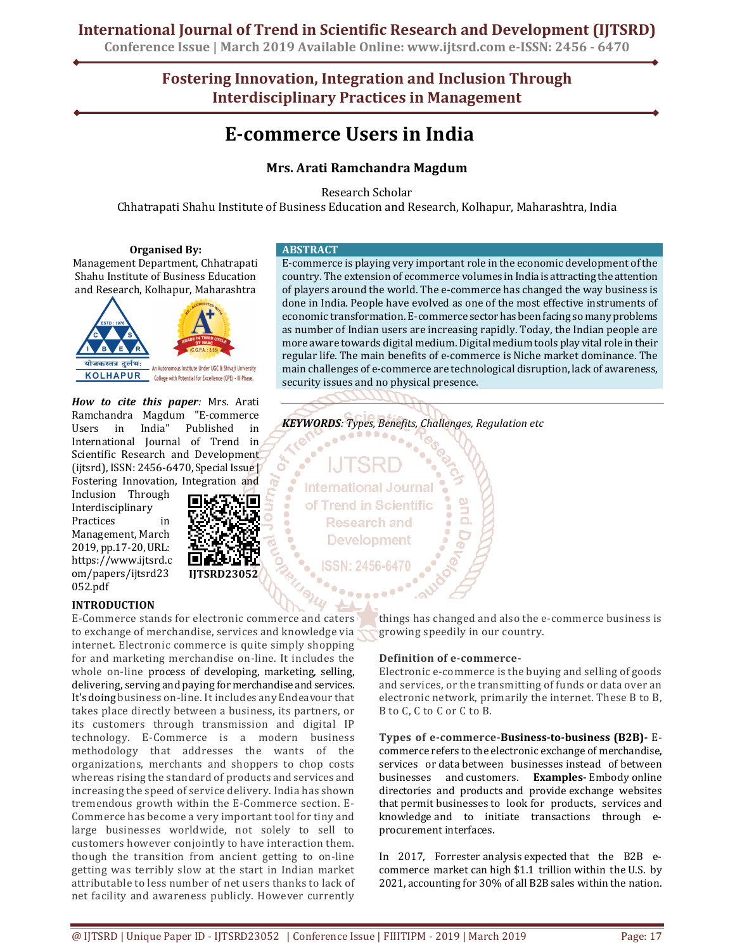# **International Journal of Trend in Scientific Research and Development (IJTSRD)**

**Conference Issue | March 2019 Available Online: www.ijtsrd.com e-ISSN: 2456 - 6470**

# **Fostering Innovation, Integration and Inclusion Through Interdisciplinary Practices in Management**

# **E-commerce Users in India**

# **Mrs. Arati Ramchandra Magdum**

Research Scholar

Chhatrapati Shahu Institute of Business Education and Research, Kolhapur, Maharashtra, India

# **Organised By:**

Management Department, Chhatrapati Shahu Institute of Business Education and Research, Kolhapur, Maharashtra



*How to cite this paper:* Mrs. Arati Ramchandra Magdum "E-commerce Users in India" Published in International Journal of Trend in Scientific Research and Development (ijtsrd), ISSN: 2456-6470, Special Issue | Fostering Innovation, Integration and

Inclusion Through Interdisciplinary Practices in Management, March 2019, pp.17-20, URL: https://www.ijtsrd.c om/papers/ijtsrd23 052.pdf



# **INTRODUCTION**

E-Commerce stands for electronic commerce and caters to exchange of merchandise, services and knowledge via internet. Electronic commerce is quite simply shopping for and marketing merchandise on-line. It includes the whole on-line process of developing, marketing, selling, delivering, serving and paying for merchandise and services. It's doing business on-line. It includes any Endeavour that takes place directly between a business, its partners, or its customers through transmission and digital IP technology. E-Commerce is a modern business methodology that addresses the wants of the organizations, merchants and shoppers to chop costs whereas rising the standard of products and services and increasing the speed of service delivery. India has shown tremendous growth within the E-Commerce section. E-Commerce has become a very important tool for tiny and large businesses worldwide, not solely to sell to customers however conjointly to have interaction them. though the transition from ancient getting to on-line getting was terribly slow at the start in Indian market attributable to less number of net users thanks to lack of net facility and awareness publicly. However currently

### **ABSTRACT**

E-commerce is playing very important role in the economic development of the country. The extension of ecommerce volumes in India is attracting the attention of players around the world. The e-commerce has changed the way business is done in India. People have evolved as one of the most effective instruments of economic transformation. E-commerce sector has been facing so many problems as number of Indian users are increasing rapidly. Today, the Indian people are more aware towards digital medium. Digital medium tools play vital role in their regular life. The main benefits of e-commerce is Niche market dominance. The main challenges of e-commerce are technological disruption, lack of awareness, security issues and no physical presence.

*KEYWORDS: Types, Benefits, Challenges, Regulation etc*   $\frac{1}{2}$ 

**International Journal** of Trend in Scientific **Research and Development** 

> things has changed and also the e-commerce business is growing speedily in our country.

# **Definition of e-commerce-**

Electronic e-commerce is the buying and selling of goods and services, or the transmitting of funds or data over an electronic network, primarily the internet. These B to B, B to C, C to C or C to B.

**Types of e-commerce-Business-to-business (B2B)-** Ecommerce refers to the electronic exchange of merchandise, services or data between businesses instead of between businesses and customers. **Examples-** Embody online directories and products and provide exchange websites that permit businesses to look for products, services and knowledge and to initiate transactions through eprocurement interfaces.

In 2017, Forrester analysis expected that the B2B ecommerce market can high \$1.1 trillion within the U.S. by 2021, accounting for 30% of all B2B sales within the nation.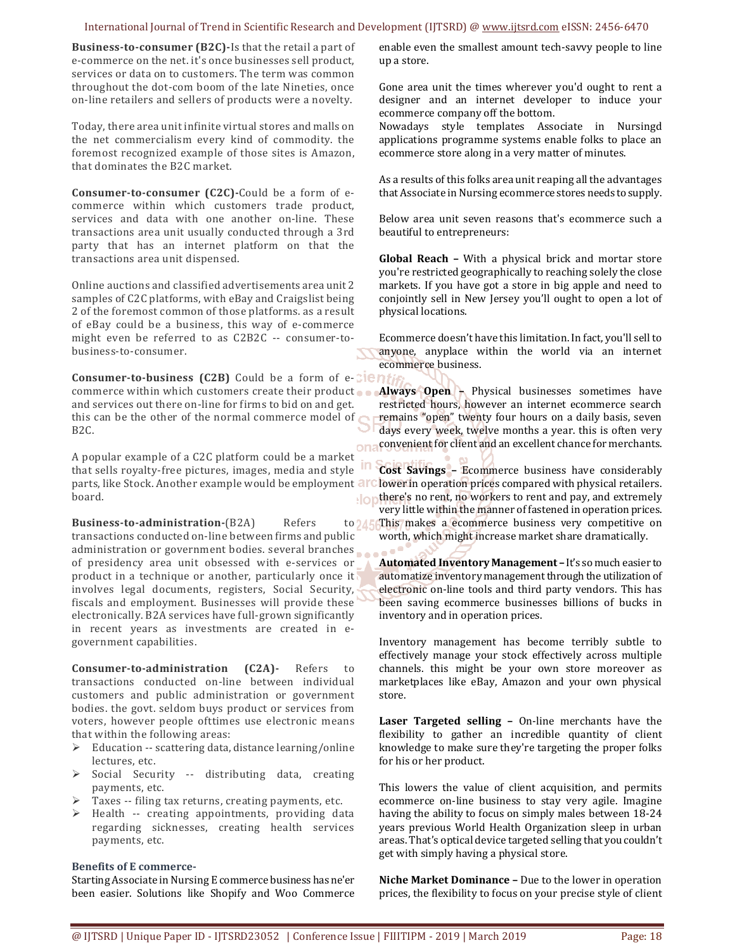## International Journal of Trend in Scientific Research and Development (IJTSRD) @ www.ijtsrd.com eISSN: 2456-6470

**Business-to-consumer (B2C)-**Is that the retail a part of e-commerce on the net. it's once businesses sell product, services or data on to customers. The term was common throughout the dot-com boom of the late Nineties, once on-line retailers and sellers of products were a novelty.

Today, there area unit infinite virtual stores and malls on the net commercialism every kind of commodity. the foremost recognized example of those sites is Amazon, that dominates the B2C market.

**Consumer-to-consumer (C2C)-**Could be a form of ecommerce within which customers trade product, services and data with one another on-line. These transactions area unit usually conducted through a 3rd party that has an internet platform on that the transactions area unit dispensed.

Online auctions and classified advertisements area unit 2 samples of C2C platforms, with eBay and Craigslist being 2 of the foremost common of those platforms. as a result of eBay could be a business, this way of e-commerce might even be referred to as C2B2C -- consumer-tobusiness-to-consumer.

**Consumer-to-business (C2B)** Could be a form of e-Clen commerce within which customers create their product **Always Open –** Physical businesses sometimes have and services out there on-line for firms to bid on and get. this can be the other of the normal commerce model of  $\bigcap$ B2C.

A popular example of a C2C platform could be a market that sells royalty-free pictures, images, media and style parts, like Stock. Another example would be employment board. ∗lor

**Business-to-administration-**(B2A) Refers to 245 transactions conducted on-line between firms and public administration or government bodies. several branches of presidency area unit obsessed with e-services or product in a technique or another, particularly once it involves legal documents, registers, Social Security, fiscals and employment. Businesses will provide these electronically. B2A services have full-grown significantly in recent years as investments are created in egovernment capabilities.

**Consumer-to-administration (C2A)-** Refers to transactions conducted on-line between individual customers and public administration or government bodies. the govt. seldom buys product or services from voters, however people ofttimes use electronic means that within the following areas:

- $\triangleright$  Education -- scattering data, distance learning/online lectures, etc.
- $\triangleright$  Social Security -- distributing data, creating payments, etc.
- $\triangleright$  Taxes -- filing tax returns, creating payments, etc.
- $\triangleright$  Health -- creating appointments, providing data regarding sicknesses, creating health services payments, etc.

### **Benefits of E commerce-**

Starting Associate in Nursing E commerce business has ne'er been easier. Solutions like Shopify and Woo Commerce enable even the smallest amount tech-savvy people to line up a store.

Gone area unit the times wherever you'd ought to rent a designer and an internet developer to induce your ecommerce company off the bottom.

Nowadays style templates Associate in Nursingd applications programme systems enable folks to place an ecommerce store along in a very matter of minutes.

As a results of this folks area unit reaping all the advantages that Associate in Nursing ecommerce stores needs to supply.

Below area unit seven reasons that's ecommerce such a beautiful to entrepreneurs:

**Global Reach –** With a physical brick and mortar store you're restricted geographically to reaching solely the close markets. If you have got a store in big apple and need to conjointly sell in New Jersey you'll ought to open a lot of physical locations.

Ecommerce doesn't have this limitation. In fact, you'll sell to anyone, anyplace within the world via an internet ecommerce business.

restricted hours, however an internet ecommerce search remains "open" twenty four hours on a daily basis, seven days every week, twelve months a year. this is often very convenient for client and an excellent chance for merchants.

**Cost Savings –** Ecommerce business have considerably lower in operation prices compared with physical retailers. there's no rent, no workers to rent and pay, and extremely very little within the manner of fastened in operation prices. This makes a ecommerce business very competitive on

worth, which might increase market share dramatically.

**Automated Inventory Management –** It's so much easier to automatize inventory management through the utilization of electronic on-line tools and third party vendors. This has been saving ecommerce businesses billions of bucks in inventory and in operation prices.

Inventory management has become terribly subtle to effectively manage your stock effectively across multiple channels. this might be your own store moreover as marketplaces like eBay, Amazon and your own physical store.

**Laser Targeted selling –** On-line merchants have the flexibility to gather an incredible quantity of client knowledge to make sure they're targeting the proper folks for his or her product.

This lowers the value of client acquisition, and permits ecommerce on-line business to stay very agile. Imagine having the ability to focus on simply males between 18-24 years previous World Health Organization sleep in urban areas. That's optical device targeted selling that you couldn't get with simply having a physical store.

**Niche Market Dominance –** Due to the lower in operation prices, the flexibility to focus on your precise style of client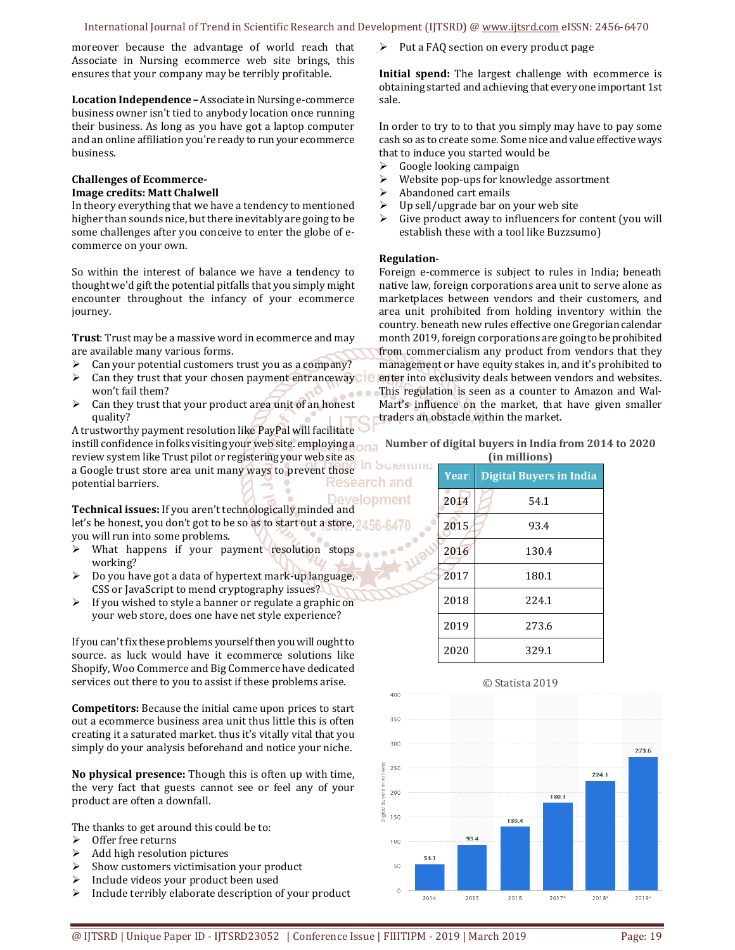moreover because the advantage of world reach that Associate in Nursing ecommerce web site brings, this ensures that your company may be terribly profitable.

**Location Independence –** Associate in Nursing e-commerce business owner isn't tied to anybody location once running their business. As long as you have got a laptop computer and an online affiliation you're ready to run your ecommerce business.

# **Challenges of Ecommerce-**

# **Image credits: Matt Chalwell**

In theory everything that we have a tendency to mentioned higher than sounds nice, but there inevitably are going to be some challenges after you conceive to enter the globe of ecommerce on your own.

So within the interest of balance we have a tendency to thought we'd gift the potential pitfalls that you simply might encounter throughout the infancy of your ecommerce journey.

**Trust**: Trust may be a massive word in ecommerce and may are available many various forms.

- $\triangleright$  Can your potential customers trust you as a company?
- $\triangleright$  Can they trust that your chosen payment entranceway  $\blacksquare$ won't fail them?
- $\triangleright$  Can they trust that your product area unit of an honest quality?

A trustworthy payment resolution like PayPal will facilitate instill confidence in folks visiting your web site. employing a review system like Trust pilot or registering your web site as in Scientific a Google trust store area unit many ways to prevent those Research and potential barriers.

**Development Technical issues:** If you aren't technologically minded and let's be honest, you don't got to be so as to start out a store, 2456. you will run into some problems.

- $\triangleright$  What happens if your payment resolution stops working?
- $\triangleright$  Do you have got a data of hypertext mark-up language, CSS or JavaScript to mend cryptography issues?
- $\triangleright$  If you wished to style a banner or regulate a graphic on your web store, does one have net style experience?

If you can't fix these problems yourself then you will ought to source. as luck would have it ecommerce solutions like Shopify, Woo Commerce and Big Commerce have dedicated services out there to you to assist if these problems arise.

**Competitors:** Because the initial came upon prices to start out a ecommerce business area unit thus little this is often creating it a saturated market. thus it's vitally vital that you simply do your analysis beforehand and notice your niche.

**No physical presence:** Though this is often up with time, the very fact that guests cannot see or feel any of your product are often a downfall.

The thanks to get around this could be to:

- $\triangleright$  Offer free returns
- $\triangleright$  Add high resolution pictures
- $\triangleright$  Show customers victimisation your product
- $\triangleright$  Include videos your product been used
- $\triangleright$  Include terribly elaborate description of your product

Put a FAQ section on every product page

**Initial spend:** The largest challenge with ecommerce is obtaining started and achieving that every one important 1st sale.

In order to try to to that you simply may have to pay some cash so as to create some. Some nice and value effective ways that to induce you started would be

- $\triangleright$  Google looking campaign
- $\triangleright$  Website pop-ups for knowledge assortment<br> $\triangleright$  Abandoned cart emails
- Abandoned cart emails
- $\triangleright$  Up sell/upgrade bar on your web site
- $\triangleright$  Give product away to influencers for content (you will establish these with a tool like Buzzsumo)

### **Regulation**-

Foreign e-commerce is subject to rules in India; beneath native law, foreign corporations area unit to serve alone as marketplaces between vendors and their customers, and area unit prohibited from holding inventory within the country. beneath new rules effective one Gregorian calendar month 2019, foreign corporations are going to be prohibited from commercialism any product from vendors that they management or have equity stakes in, and it's prohibited to enter into exclusivity deals between vendors and websites. This regulation is seen as a counter to Amazon and Wal-Mart's influence on the market, that have given smaller traders an obstacle within the market.

#### **Number of digital buyers in India from 2014 to 2020 (in millions)**

| uu muuvus) |             |                                |  |
|------------|-------------|--------------------------------|--|
|            | <b>Year</b> | <b>Digital Buyers in India</b> |  |
|            | 2014        | 54.1                           |  |
|            | 2015        | 93.4                           |  |
|            | 2016        | 130.4                          |  |
|            | 2017        | 180.1                          |  |
|            | 2018        | 224.1                          |  |
|            | 2019        | 273.6                          |  |
|            | 2020        | 329.1                          |  |